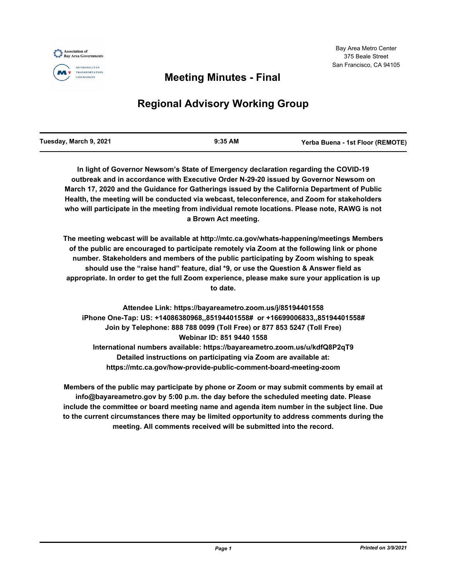



#### **METROPOLITAN TRANSPORTATION** COMMISSION

## **Meeting Minutes - Final**

# **Regional Advisory Working Group**

**In light of Governor Newsom's State of Emergency declaration regarding the COVID-19 outbreak and in accordance with Executive Order N-29-20 issued by Governor Newsom on March 17, 2020 and the Guidance for Gatherings issued by the California Department of Public Health, the meeting will be conducted via webcast, teleconference, and Zoom for stakeholders who will participate in the meeting from individual remote locations. Please note, RAWG is not a Brown Act meeting.**

**The meeting webcast will be available at http://mtc.ca.gov/whats-happening/meetings Members of the public are encouraged to participate remotely via Zoom at the following link or phone number. Stakeholders and members of the public participating by Zoom wishing to speak should use the "raise hand" feature, dial \*9, or use the Question & Answer field as appropriate. In order to get the full Zoom experience, please make sure your application is up to date.**

**Attendee Link: https://bayareametro.zoom.us/j/85194401558 iPhone One-Tap: US: +14086380968,,85194401558# or +16699006833,,85194401558# Join by Telephone: 888 788 0099 (Toll Free) or 877 853 5247 (Toll Free) Webinar ID: 851 9440 1558 International numbers available: https://bayareametro.zoom.us/u/kdfQ8P2qT9 Detailed instructions on participating via Zoom are available at: https://mtc.ca.gov/how-provide-public-comment-board-meeting-zoom**

**Members of the public may participate by phone or Zoom or may submit comments by email at info@bayareametro.gov by 5:00 p.m. the day before the scheduled meeting date. Please include the committee or board meeting name and agenda item number in the subject line. Due to the current circumstances there may be limited opportunity to address comments during the meeting. All comments received will be submitted into the record.**